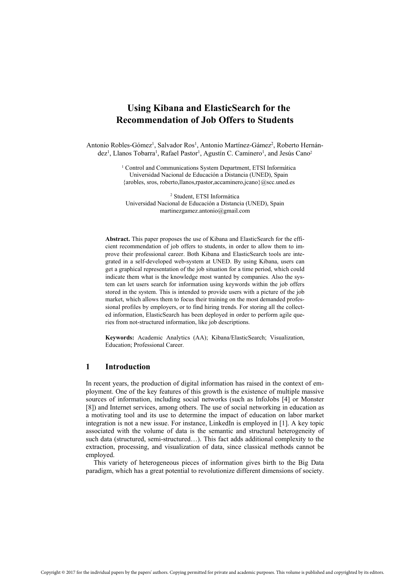# **Using Kibana and ElasticSearch for the Recommendation of Job Offers to Students**

Antonio Robles-Gómez<sup>1</sup>, Salvador Ros<sup>1</sup>, Antonio Martínez-Gámez<sup>2</sup>, Roberto Hernández<sup>1</sup>, Llanos Tobarra<sup>1</sup>, Rafael Pastor<sup>1</sup>, Agustín C. Caminero<sup>1</sup>, and Jesús Cano<sup>2</sup>

> <sup>1</sup> Control and Communications System Department, ETSI Informática Universidad Nacional de Educación a Distancia (UNED), Spain {arobles, sros, roberto,llanos,rpastor,accaminero,jcano}@scc.uned.es

2 Student, ETSI Informática Universidad Nacional de Educación a Distancia (UNED), Spain martinezgamez.antonio@gmail.com

**Abstract.** This paper proposes the use of Kibana and ElasticSearch for the efficient recommendation of job offers to students, in order to allow them to improve their professional career. Both Kibana and ElasticSearch tools are integrated in a self-developed web-system at UNED. By using Kibana, users can get a graphical representation of the job situation for a time period, which could indicate them what is the knowledge most wanted by companies. Also the system can let users search for information using keywords within the job offers stored in the system. This is intended to provide users with a picture of the job market, which allows them to focus their training on the most demanded professional profiles by employers, or to find hiring trends. For storing all the collected information, ElasticSearch has been deployed in order to perform agile queries from not-structured information, like job descriptions.

**Keywords:** Academic Analytics (AA); Kibana/ElasticSearch; Visualization, Education; Professional Career.

# **1 Introduction**

In recent years, the production of digital information has raised in the context of employment. One of the key features of this growth is the existence of multiple massive sources of information, including social networks (such as InfoJobs [4] or Monster [8]) and Internet services, among others. The use of social networking in education as a motivating tool and its use to determine the impact of education on labor market integration is not a new issue. For instance, LinkedIn is employed in [1]. A key topic associated with the volume of data is the semantic and structural heterogeneity of such data (structured, semi-structured…). This fact adds additional complexity to the extraction, processing, and visualization of data, since classical methods cannot be employed.

This variety of heterogeneous pieces of information gives birth to the Big Data paradigm, which has a great potential to revolutionize different dimensions of society.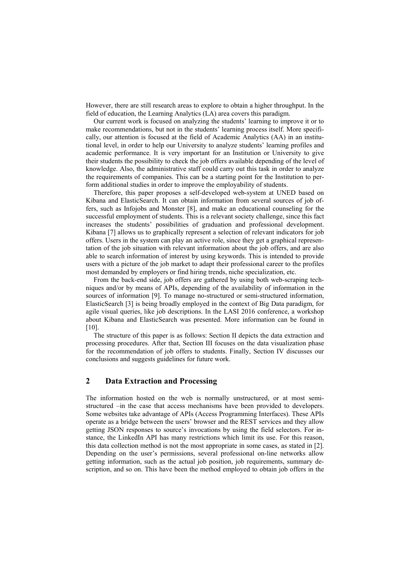However, there are still research areas to explore to obtain a higher throughput. In the field of education, the Learning Analytics (LA) area covers this paradigm.

Our current work is focused on analyzing the students' learning to improve it or to make recommendations, but not in the students' learning process itself. More specifically, our attention is focused at the field of Academic Analytics (AA) in an institutional level, in order to help our University to analyze students' learning profiles and academic performance. It is very important for an Institution or University to give their students the possibility to check the job offers available depending of the level of knowledge. Also, the administrative staff could carry out this task in order to analyze the requirements of companies. This can be a starting point for the Institution to perform additional studies in order to improve the employability of students.

Therefore, this paper proposes a self-developed web-system at UNED based on Kibana and ElasticSearch. It can obtain information from several sources of job offers, such as Infojobs and Monster [8], and make an educational counseling for the successful employment of students. This is a relevant society challenge, since this fact increases the students' possibilities of graduation and professional development. Kibana [7] allows us to graphically represent a selection of relevant indicators for job offers. Users in the system can play an active role, since they get a graphical representation of the job situation with relevant information about the job offers, and are also able to search information of interest by using keywords. This is intended to provide users with a picture of the job market to adapt their professional career to the profiles most demanded by employers or find hiring trends, niche specialization, etc.

From the back-end side, job offers are gathered by using both web-scraping techniques and/or by means of APIs, depending of the availability of information in the sources of information [9]. To manage no-structured or semi-structured information, ElasticSearch [3] is being broadly employed in the context of Big Data paradigm, for agile visual queries, like job descriptions. In the LASI 2016 conference, a workshop about Kibana and ElasticSearch was presented. More information can be found in [10].

The structure of this paper is as follows: Section II depicts the data extraction and processing procedures. After that, Section III focuses on the data visualization phase for the recommendation of job offers to students. Finally, Section IV discusses our conclusions and suggests guidelines for future work.

# **2 Data Extraction and Processing**

The information hosted on the web is normally unstructured, or at most semistructured –in the case that access mechanisms have been provided to developers. Some websites take advantage of APIs (Access Programming Interfaces). These APIs operate as a bridge between the users' browser and the REST services and they allow getting JSON responses to source's invocations by using the field selectors. For instance, the LinkedIn API has many restrictions which limit its use. For this reason, this data collection method is not the most appropriate in some cases, as stated in [2]. Depending on the user's permissions, several professional on-line networks allow getting information, such as the actual job position, job requirements, summary description, and so on. This have been the method employed to obtain job offers in the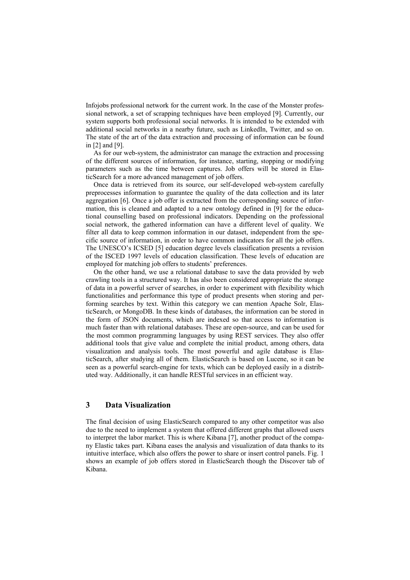Infojobs professional network for the current work. In the case of the Monster professional network, a set of scrapping techniques have been employed [9]. Currently, our system supports both professional social networks. It is intended to be extended with additional social networks in a nearby future, such as LinkedIn, Twitter, and so on. The state of the art of the data extraction and processing of information can be found in [2] and [9].

As for our web-system, the administrator can manage the extraction and processing of the different sources of information, for instance, starting, stopping or modifying parameters such as the time between captures. Job offers will be stored in ElasticSearch for a more advanced management of job offers.

Once data is retrieved from its source, our self-developed web-system carefully preprocesses information to guarantee the quality of the data collection and its later aggregation [6]. Once a job offer is extracted from the corresponding source of information, this is cleaned and adapted to a new ontology defined in [9] for the educational counselling based on professional indicators. Depending on the professional social network, the gathered information can have a different level of quality. We filter all data to keep common information in our dataset, independent from the specific source of information, in order to have common indicators for all the job offers. The UNESCO's ICSED [5] education degree levels classification presents a revision of the ISCED 1997 levels of education classification. These levels of education are employed for matching job offers to students' preferences.

On the other hand, we use a relational database to save the data provided by web crawling tools in a structured way. It has also been considered appropriate the storage of data in a powerful server of searches, in order to experiment with flexibility which functionalities and performance this type of product presents when storing and performing searches by text. Within this category we can mention Apache Solr, ElasticSearch, or MongoDB. In these kinds of databases, the information can be stored in the form of JSON documents, which are indexed so that access to information is much faster than with relational databases. These are open-source, and can be used for the most common programming languages by using REST services. They also offer additional tools that give value and complete the initial product, among others, data visualization and analysis tools. The most powerful and agile database is ElasticSearch, after studying all of them. ElasticSearch is based on Lucene, so it can be seen as a powerful search-engine for texts, which can be deployed easily in a distributed way. Additionally, it can handle RESTful services in an efficient way.

### **3 Data Visualization**

The final decision of using ElasticSearch compared to any other competitor was also due to the need to implement a system that offered different graphs that allowed users to interpret the labor market. This is where Kibana [7], another product of the company Elastic takes part. Kibana eases the analysis and visualization of data thanks to its intuitive interface, which also offers the power to share or insert control panels. Fig. 1 shows an example of job offers stored in ElasticSearch though the Discover tab of Kibana.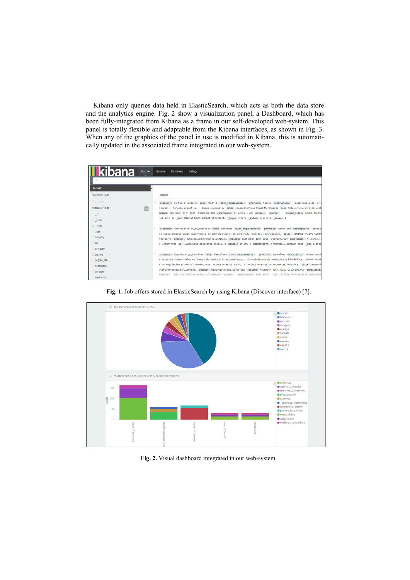Kibana only queries data held in ElasticSearch, which acts as both the data store and the analytics engine. Fig. 2 show a visualization panel, a Dashboard, which has been fully-integrated from Kibana as a frame in our self-developed web-system. This panel is totally flexible and adaptable from the Kibana interfaces, as shown in Fig. 3. When any of the graphics of the panel in use is modified in Kibana, this is automatically updated in the associated frame integrated in our web-system.





**Fig. 1.** Job offers stored in ElasticSearch by using Kibana (Discover interface) [7].

**Fig. 2.** Visual dashboard integrated in our web-system.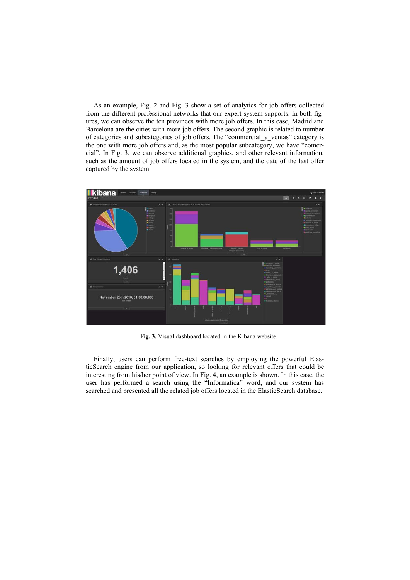As an example, Fig. 2 and Fig. 3 show a set of analytics for job offers collected from the different professional networks that our expert system supports. In both figures, we can observe the ten provinces with more job offers. In this case, Madrid and Barcelona are the cities with more job offers. The second graphic is related to number of categories and subcategories of job offers. The "commercial\_y\_ventas" category is the one with more job offers and, as the most popular subcategory, we have "comercial". In Fig. 3, we can observe additional graphics, and other relevant information, such as the amount of job offers located in the system, and the date of the last offer captured by the system.



**Fig. 3.** Visual dashboard located in the Kibana website.

Finally, users can perform free-text searches by employing the powerful ElasticSearch engine from our application, so looking for relevant offers that could be interesting from his/her point of view. In Fig. 4, an example is shown. In this case, the user has performed a search using the "Informática" word, and our system has searched and presented all the related job offers located in the ElasticSearch database.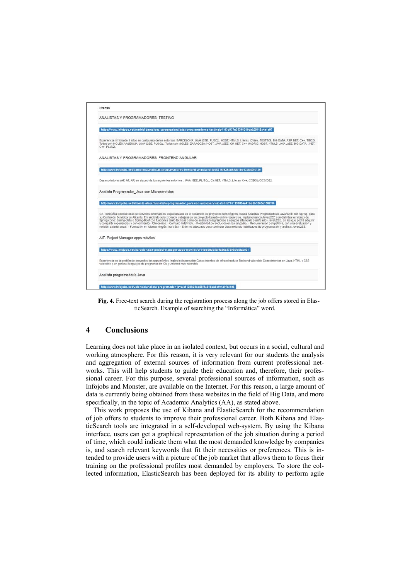

**Fig. 4.** Free-text search during the registration process along the job offers stored in ElasticSearch. Example of searching the "Informática" word.

## **4 Conclusions**

Learning does not take place in an isolated context, but occurs in a social, cultural and working atmosphere. For this reason, it is very relevant for our students the analysis and aggregation of external sources of information from current professional networks. This will help students to guide their education and, therefore, their professional career. For this purpose, several professional sources of information, such as Infojobs and Monster, are available on the Internet. For this reason, a large amount of data is currently being obtained from these websites in the field of Big Data, and more specifically, in the topic of Academic Analytics (AA), as stated above.

This work proposes the use of Kibana and ElasticSearch for the recommendation of job offers to students to improve their professional career. Both Kibana and ElasticSearch tools are integrated in a self-developed web-system. By using the Kibana interface, users can get a graphical representation of the job situation during a period of time, which could indicate them what the most demanded knowledge by companies is, and search relevant keywords that fit their necessities or preferences. This is intended to provide users with a picture of the job market that allows them to focus their training on the professional profiles most demanded by employers. To store the collected information, ElasticSearch has been deployed for its ability to perform agile